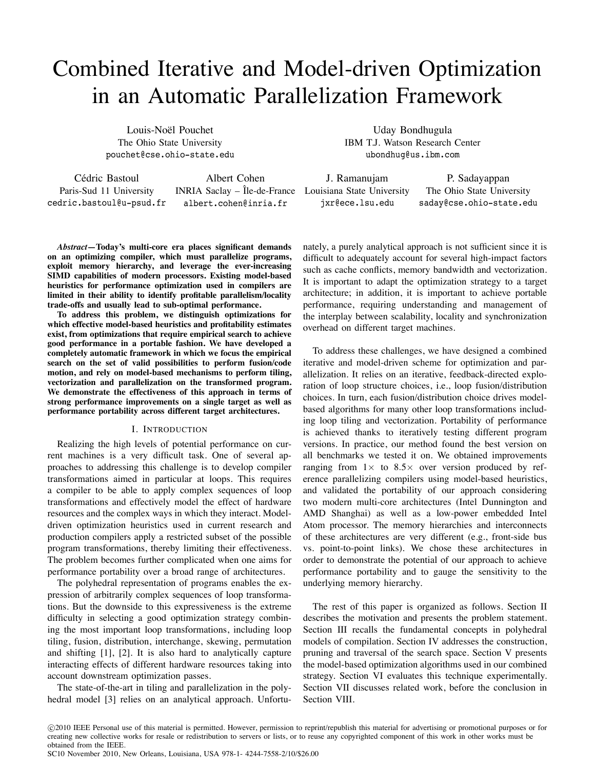# Combined Iterative and Model-driven Optimization in an Automatic Parallelization Framework

Louis-Noël Pouchet The Ohio State University pouchet@cse.ohio-state.edu

Cédric Bastoul Paris-Sud 11 University cedric.bastoul@u-psud.fr Albert Cohen INRIA Saclay - Île-de-France Louisiana State University albert.cohen@inria.fr

Uday Bondhugula IBM T.J. Watson Research Center ubondhug@us.ibm.com

J. Ramanujam jxr@ece.lsu.edu

P. Sadayappan The Ohio State University saday@cse.ohio-state.edu

*Abstract***—Today's multi-core era places significant demands on an optimizing compiler, which must parallelize programs, exploit memory hierarchy, and leverage the ever-increasing SIMD capabilities of modern processors. Existing model-based heuristics for performance optimization used in compilers are limited in their ability to identify profitable parallelism/locality trade-offs and usually lead to sub-optimal performance.**

**To address this problem, we distinguish optimizations for which effective model-based heuristics and profitability estimates exist, from optimizations that require empirical search to achieve good performance in a portable fashion. We have developed a completely automatic framework in which we focus the empirical search on the set of valid possibilities to perform fusion/code motion, and rely on model-based mechanisms to perform tiling, vectorization and parallelization on the transformed program. We demonstrate the effectiveness of this approach in terms of strong performance improvements on a single target as well as performance portability across different target architectures.**

#### I. INTRODUCTION

Realizing the high levels of potential performance on current machines is a very difficult task. One of several approaches to addressing this challenge is to develop compiler transformations aimed in particular at loops. This requires a compiler to be able to apply complex sequences of loop transformations and effectively model the effect of hardware resources and the complex ways in which they interact. Modeldriven optimization heuristics used in current research and production compilers apply a restricted subset of the possible program transformations, thereby limiting their effectiveness. The problem becomes further complicated when one aims for performance portability over a broad range of architectures.

The polyhedral representation of programs enables the expression of arbitrarily complex sequences of loop transformations. But the downside to this expressiveness is the extreme difficulty in selecting a good optimization strategy combining the most important loop transformations, including loop tiling, fusion, distribution, interchange, skewing, permutation and shifting [1], [2]. It is also hard to analytically capture interacting effects of different hardware resources taking into account downstream optimization passes.

The state-of-the-art in tiling and parallelization in the polyhedral model [3] relies on an analytical approach. Unfortunately, a purely analytical approach is not sufficient since it is difficult to adequately account for several high-impact factors such as cache conflicts, memory bandwidth and vectorization. It is important to adapt the optimization strategy to a target architecture; in addition, it is important to achieve portable performance, requiring understanding and management of the interplay between scalability, locality and synchronization overhead on different target machines.

To address these challenges, we have designed a combined iterative and model-driven scheme for optimization and parallelization. It relies on an iterative, feedback-directed exploration of loop structure choices, i.e., loop fusion/distribution choices. In turn, each fusion/distribution choice drives modelbased algorithms for many other loop transformations including loop tiling and vectorization. Portability of performance is achieved thanks to iteratively testing different program versions. In practice, our method found the best version on all benchmarks we tested it on. We obtained improvements ranging from  $1 \times$  to 8.5 $\times$  over version produced by reference parallelizing compilers using model-based heuristics, and validated the portability of our approach considering two modern multi-core architectures (Intel Dunnington and AMD Shanghai) as well as a low-power embedded Intel Atom processor. The memory hierarchies and interconnects of these architectures are very different (e.g., front-side bus vs. point-to-point links). We chose these architectures in order to demonstrate the potential of our approach to achieve performance portability and to gauge the sensitivity to the underlying memory hierarchy.

The rest of this paper is organized as follows. Section II describes the motivation and presents the problem statement. Section III recalls the fundamental concepts in polyhedral models of compilation. Section IV addresses the construction, pruning and traversal of the search space. Section V presents the model-based optimization algorithms used in our combined strategy. Section VI evaluates this technique experimentally. Section VII discusses related work, before the conclusion in Section VIII.

 $\degree$  (0)2010 IEEE Personal use of this material is permitted. However, permission to reprint/republish this material for advertising or promotional purposes or for creating new collective works for resale or redistribution to servers or lists, or to reuse any copyrighted component of this work in other works must be obtained from the IEEE.

SC10 November 2010, New Orleans, Louisiana, USA 978-1- 4244-7558-2/10/\$26.00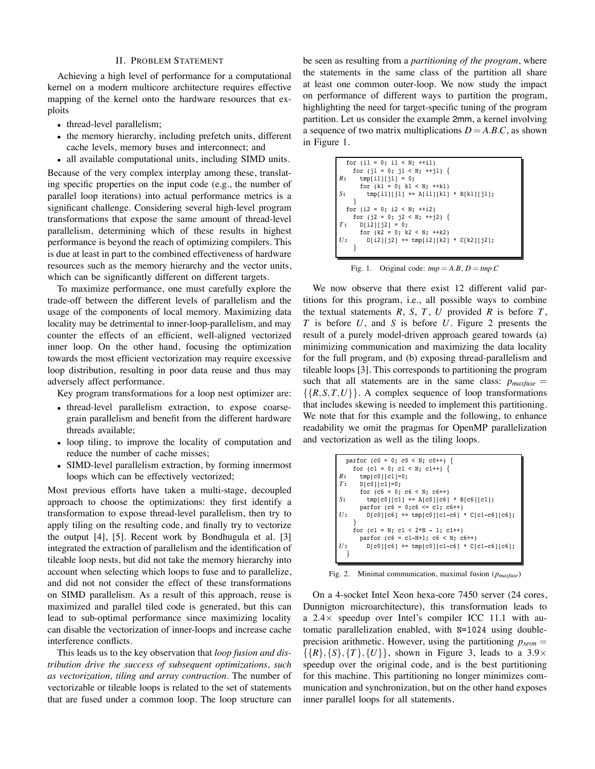#### II. PROBLEM STATEMENT

Achieving a high level of performance for a computational kernel on a modern multicore architecture requires effective mapping of the kernel onto the hardware resources that exploits

- thread-level parallelism;
- the memory hierarchy, including prefetch units, different cache levels, memory buses and interconnect; and
- all available computational units, including SIMD units.

Because of the very complex interplay among these, translating specific properties on the input code (e.g., the number of parallel loop iterations) into actual performance metrics is a significant challenge. Considering several high-level program transformations that expose the same amount of thread-level parallelism, determining which of these results in highest performance is beyond the reach of optimizing compilers. This is due at least in part to the combined effectiveness of hardware resources such as the memory hierarchy and the vector units, which can be significantly different on different targets.

To maximize performance, one must carefully explore the trade-off between the different levels of parallelism and the usage of the components of local memory. Maximizing data locality may be detrimental to inner-loop-parallelism, and may counter the effects of an efficient, well-aligned vectorized inner loop. On the other hand, focusing the optimization towards the most efficient vectorization may require excessive loop distribution, resulting in poor data reuse and thus may adversely affect performance.

Key program transformations for a loop nest optimizer are:

- thread-level parallelism extraction, to expose coarsegrain parallelism and benefit from the different hardware threads available;
- loop tiling, to improve the locality of computation and reduce the number of cache misses;
- SIMD-level parallelism extraction, by forming innermost loops which can be effectively vectorized;

Most previous efforts have taken a multi-stage, decoupled approach to choose the optimizations: they first identify a transformation to expose thread-level parallelism, then try to apply tiling on the resulting code, and finally try to vectorize the output [4], [5]. Recent work by Bondhugula et al. [3] integrated the extraction of parallelism and the identification of tileable loop nests, but did not take the memory hierarchy into account when selecting which loops to fuse and to parallelize, and did not not consider the effect of these transformations on SIMD parallelism. As a result of this approach, reuse is maximized and parallel tiled code is generated, but this can lead to sub-optimal performance since maximizing locality can disable the vectorization of inner-loops and increase cache interference conflicts.

This leads us to the key observation that *loop fusion and distribution drive the success of subsequent optimizations, such as vectorization, tiling and array contraction*. The number of vectorizable or tileable loops is related to the set of statements that are fused under a common loop. The loop structure can be seen as resulting from a *partitioning of the program*, where the statements in the same class of the partition all share at least one common outer-loop. We now study the impact on performance of different ways to partition the program, highlighting the need for target-specific tuning of the program partition. Let us consider the example 2mm, a kernel involving a sequence of two matrix multiplications  $D = A.B.C$ , as shown in Figure 1.



Fig. 1. Original code:  $tmp = A.B, D = tmp.C$ 

We now observe that there exist 12 different valid partitions for this program, i.e., all possible ways to combine the textual statements  $R$ ,  $S$ ,  $T$ ,  $U$  provided  $R$  is before  $T$ , *T* is before *U*, and *S* is before *U*. Figure 2 presents the result of a purely model-driven approach geared towards (a) minimizing communication and maximizing the data locality for the full program, and (b) exposing thread-parallelism and tileable loops [3]. This corresponds to partitioning the program such that all statements are in the same class:  $p_{maxfuse}$  =  $\{\{R, S, T, U\}\}\$ . A complex sequence of loop transformations that includes skewing is needed to implement this partitioning. We note that for this example and the following, to enhance readability we omit the pragmas for OpenMP parallelization and vectorization as well as the tiling loops.

| parfor $\{c0 = 0; c0 < N; c0++\}$                   |  |  |  |  |  |  |  |
|-----------------------------------------------------|--|--|--|--|--|--|--|
| for $(cl = 0; cl < N; cl++)$                        |  |  |  |  |  |  |  |
| R:<br>$tmp[col][cl]=0;$                             |  |  |  |  |  |  |  |
| T:<br>$D[CO][C1]=0;$                                |  |  |  |  |  |  |  |
| for $(c6 = 0; c6 < N; c6++)$                        |  |  |  |  |  |  |  |
| S:<br>$tmp[col][cl] += A[col][c6] * B[cb][cl];$     |  |  |  |  |  |  |  |
| parfor $(c6 = 0; c6 \leq c1; c6++)$                 |  |  |  |  |  |  |  |
| U:<br>$D[CO][CO]$ += tmp[c0][c1-c6] * C[c1-c6][c6]; |  |  |  |  |  |  |  |
|                                                     |  |  |  |  |  |  |  |
| for $(cl = N; cl < 2*N - 1; cl++)$                  |  |  |  |  |  |  |  |
| parfor $(c6 = c1-N+1; c6 < N; c6++)$                |  |  |  |  |  |  |  |
| U:<br>$D[CO][CO]$ += tmp[c0][c1-c6] * C[c1-c6][c6]; |  |  |  |  |  |  |  |
|                                                     |  |  |  |  |  |  |  |
|                                                     |  |  |  |  |  |  |  |

Fig. 2. Minimal communication, maximal fusion (*pmaxfuse*)

On a 4-socket Intel Xeon hexa-core 7450 server (24 cores, Dunnigton microarchitecture), this transformation leads to a  $2.4\times$  speedup over Intel's compiler ICC 11.1 with automatic parallelization enabled, with N=1024 using doubleprecision arithmetic. However, using the partitioning  $p_{xeon}$  =  $\{\{R\}, \{S\}, \{T\}, \{U\}\}\$ , shown in Figure 3, leads to a 3.9 $\times$ speedup over the original code, and is the best partitioning for this machine. This partitioning no longer minimizes communication and synchronization, but on the other hand exposes inner parallel loops for all statements.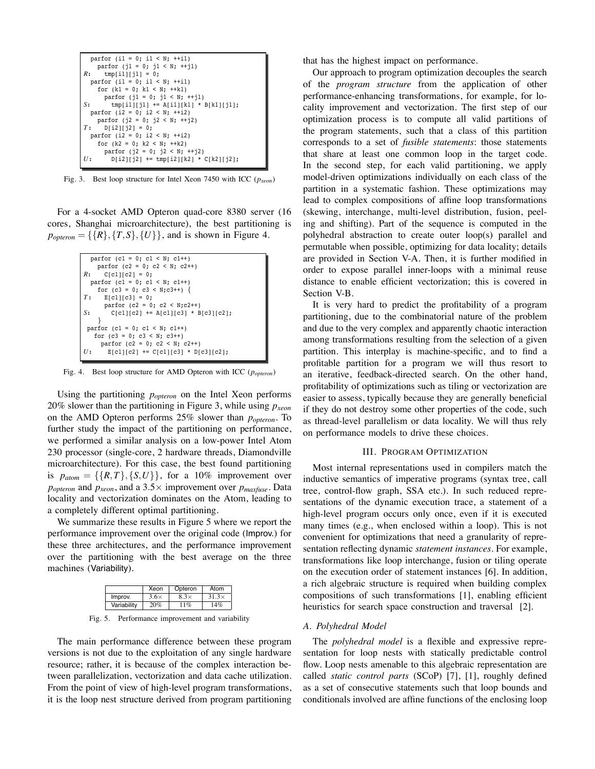

Fig. 3. Best loop structure for Intel Xeon 7450 with ICC (*pxeon*)

For a 4-socket AMD Opteron quad-core 8380 server (16 cores, Shanghai microarchitecture), the best partitioning is  $p_{\text{opteron}} = \{\{R\}, \{T, S\}, \{U\}\}\$ , and is shown in Figure 4.

```
parfor (c1 = 0; c1 < N; c1++)parfor (c2 = 0; c2 < N; c2++)R: C[c1][c2] = 0;parfor (c1 = 0; c1 < N; c1++)for (c3 = 0; c3 < N; c3++) {
T: E[c1][c3] = 0;
     partor (c2 = 0; c2 < N;c2++)
S: C[c1][c2] += A[c1][c3] * B[c3][c2];
    }
parfor (c1 = 0; c1 < N; c1++)for (c3 = 0; c3 < N; c3++)parfor (c2 = 0; c2 < N; c2++)
U: E[c1][c2] += C[c1][c3] * D[c3][c2];
```
Fig. 4. Best loop structure for AMD Opteron with ICC (*popteron*)

Using the partitioning *popteron* on the Intel Xeon performs 20% slower than the partitioning in Figure 3, while using *pxeon* on the AMD Opteron performs 25% slower than *popteron*. To further study the impact of the partitioning on performance, we performed a similar analysis on a low-power Intel Atom 230 processor (single-core, 2 hardware threads, Diamondville microarchitecture). For this case, the best found partitioning is  $p_{atom} = \{\{R,T\},\{S,U\}\}\$ , for a 10% improvement over *popteron* and *pxeon*, and a 3.5× improvement over *pmaxfuse*. Data locality and vectorization dominates on the Atom, leading to a completely different optimal partitioning.

We summarize these results in Figure 5 where we report the performance improvement over the original code (Improv.) for these three architectures, and the performance improvement over the partitioning with the best average on the three machines (Variability).

|             | Xeon      | Opteron | Atom |
|-------------|-----------|---------|------|
| Improv.     | $6\times$ |         |      |
| Variability |           | $1\%$   | 4%   |

Fig. 5. Performance improvement and variability

The main performance difference between these program versions is not due to the exploitation of any single hardware resource; rather, it is because of the complex interaction between parallelization, vectorization and data cache utilization. From the point of view of high-level program transformations, it is the loop nest structure derived from program partitioning that has the highest impact on performance.

Our approach to program optimization decouples the search of the *program structure* from the application of other performance-enhancing transformations, for example, for locality improvement and vectorization. The first step of our optimization process is to compute all valid partitions of the program statements, such that a class of this partition corresponds to a set of *fusible statements*: those statements that share at least one common loop in the target code. In the second step, for each valid partitioning, we apply model-driven optimizations individually on each class of the partition in a systematic fashion. These optimizations may lead to complex compositions of affine loop transformations (skewing, interchange, multi-level distribution, fusion, peeling and shifting). Part of the sequence is computed in the polyhedral abstraction to create outer loop(s) parallel and permutable when possible, optimizing for data locality; details are provided in Section V-A. Then, it is further modified in order to expose parallel inner-loops with a minimal reuse distance to enable efficient vectorization; this is covered in Section V-B.

It is very hard to predict the profitability of a program partitioning, due to the combinatorial nature of the problem and due to the very complex and apparently chaotic interaction among transformations resulting from the selection of a given partition. This interplay is machine-specific, and to find a profitable partition for a program we will thus resort to an iterative, feedback-directed search. On the other hand, profitability of optimizations such as tiling or vectorization are easier to assess, typically because they are generally beneficial if they do not destroy some other properties of the code, such as thread-level parallelism or data locality. We will thus rely on performance models to drive these choices.

#### III. PROGRAM OPTIMIZATION

Most internal representations used in compilers match the inductive semantics of imperative programs (syntax tree, call tree, control-flow graph, SSA etc.). In such reduced representations of the dynamic execution trace, a statement of a high-level program occurs only once, even if it is executed many times (e.g., when enclosed within a loop). This is not convenient for optimizations that need a granularity of representation reflecting dynamic *statement instances*. For example, transformations like loop interchange, fusion or tiling operate on the execution order of statement instances [6]. In addition, a rich algebraic structure is required when building complex compositions of such transformations [1], enabling efficient heuristics for search space construction and traversal [2].

# *A. Polyhedral Model*

The *polyhedral model* is a flexible and expressive representation for loop nests with statically predictable control flow. Loop nests amenable to this algebraic representation are called *static control parts* (SCoP) [7], [1], roughly defined as a set of consecutive statements such that loop bounds and conditionals involved are affine functions of the enclosing loop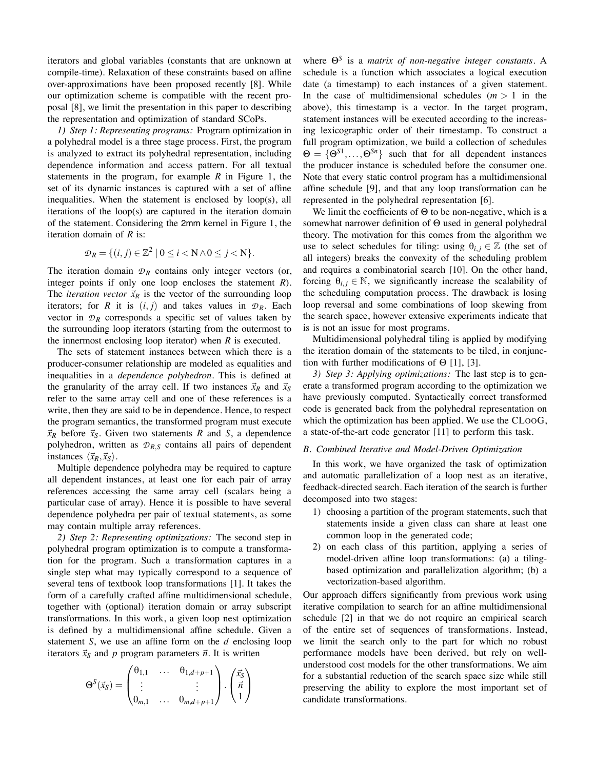iterators and global variables (constants that are unknown at compile-time). Relaxation of these constraints based on affine over-approximations have been proposed recently [8]. While our optimization scheme is compatible with the recent proposal [8], we limit the presentation in this paper to describing the representation and optimization of standard SCoPs.

*1) Step 1: Representing programs:* Program optimization in a polyhedral model is a three stage process. First, the program is analyzed to extract its polyhedral representation, including dependence information and access pattern. For all textual statements in the program, for example *R* in Figure 1, the set of its dynamic instances is captured with a set of affine inequalities. When the statement is enclosed by loop(s), all iterations of the loop(s) are captured in the iteration domain of the statement. Considering the 2mm kernel in Figure 1, the iteration domain of *R* is:

$$
\mathcal{D}_R = \{ (i,j) \in \mathbb{Z}^2 \mid 0 \le i < N \land 0 \le j < N \}.
$$

The iteration domain  $\mathcal{D}_R$  contains only integer vectors (or, integer points if only one loop encloses the statement *R*). The *iteration vector*  $\vec{x}_R$  is the vector of the surrounding loop iterators; for *R* it is  $(i, j)$  and takes values in  $\mathcal{D}_R$ . Each vector in  $\mathcal{D}_R$  corresponds a specific set of values taken by the surrounding loop iterators (starting from the outermost to the innermost enclosing loop iterator) when *R* is executed.

The sets of statement instances between which there is a producer-consumer relationship are modeled as equalities and inequalities in a *dependence polyhedron*. This is defined at the granularity of the array cell. If two instances  $\vec{x}_R$  and  $\vec{x}_S$ refer to the same array cell and one of these references is a write, then they are said to be in dependence. Hence, to respect the program semantics, the transformed program must execute  $\vec{x}_R$  before  $\vec{x}_S$ . Given two statements *R* and *S*, a dependence polyhedron, written as  $\mathcal{D}_{RS}$  contains all pairs of dependent instances  $\langle \vec{x}_R, \vec{x}_S \rangle$ .

Multiple dependence polyhedra may be required to capture all dependent instances, at least one for each pair of array references accessing the same array cell (scalars being a particular case of array). Hence it is possible to have several dependence polyhedra per pair of textual statements, as some may contain multiple array references.

*2) Step 2: Representing optimizations:* The second step in polyhedral program optimization is to compute a transformation for the program. Such a transformation captures in a single step what may typically correspond to a sequence of several tens of textbook loop transformations [1]. It takes the form of a carefully crafted affine multidimensional schedule, together with (optional) iteration domain or array subscript transformations. In this work, a given loop nest optimization is defined by a multidimensional affine schedule. Given a statement *S*, we use an affine form on the *d* enclosing loop iterators  $\vec{x}_s$  and *p* program parameters  $\vec{n}$ . It is written

$$
\Theta^{S}(\vec{x}_{S}) = \begin{pmatrix} \theta_{1,1} & \dots & \theta_{1,d+p+1} \\ \vdots & & \vdots \\ \theta_{m,1} & \dots & \theta_{m,d+p+1} \end{pmatrix} \cdot \begin{pmatrix} \vec{x}_{S} \\ \vec{n} \\ 1 \end{pmatrix}
$$

where Θ*<sup>S</sup>* is a *matrix of non-negative integer constants*. A schedule is a function which associates a logical execution date (a timestamp) to each instances of a given statement. In the case of multidimensional schedules  $(m > 1)$  in the above), this timestamp is a vector. In the target program, statement instances will be executed according to the increasing lexicographic order of their timestamp. To construct a full program optimization, we build a collection of schedules  $\Theta = \{\Theta^{S1}, \ldots, \Theta^{Sn}\}\$  such that for all dependent instances the producer instance is scheduled before the consumer one. Note that every static control program has a multidimensional affine schedule [9], and that any loop transformation can be represented in the polyhedral representation [6].

We limit the coefficients of  $\Theta$  to be non-negative, which is a somewhat narrower definition of Θ used in general polyhedral theory. The motivation for this comes from the algorithm we use to select schedules for tiling: using  $\theta_{i,j} \in \mathbb{Z}$  (the set of all integers) breaks the convexity of the scheduling problem and requires a combinatorial search [10]. On the other hand, forcing  $\theta_{i,j} \in \mathbb{N}$ , we significantly increase the scalability of the scheduling computation process. The drawback is losing loop reversal and some combinations of loop skewing from the search space, however extensive experiments indicate that is is not an issue for most programs.

Multidimensional polyhedral tiling is applied by modifying the iteration domain of the statements to be tiled, in conjunction with further modifications of  $\Theta$  [1], [3].

*3) Step 3: Applying optimizations:* The last step is to generate a transformed program according to the optimization we have previously computed. Syntactically correct transformed code is generated back from the polyhedral representation on which the optimization has been applied. We use the CLOOG, a state-of-the-art code generator [11] to perform this task.

# *B. Combined Iterative and Model-Driven Optimization*

In this work, we have organized the task of optimization and automatic parallelization of a loop nest as an iterative, feedback-directed search. Each iteration of the search is further decomposed into two stages:

- 1) choosing a partition of the program statements, such that statements inside a given class can share at least one common loop in the generated code;
- 2) on each class of this partition, applying a series of model-driven affine loop transformations: (a) a tilingbased optimization and parallelization algorithm; (b) a vectorization-based algorithm.

Our approach differs significantly from previous work using iterative compilation to search for an affine multidimensional schedule [2] in that we do not require an empirical search of the entire set of sequences of transformations. Instead, we limit the search only to the part for which no robust performance models have been derived, but rely on wellunderstood cost models for the other transformations. We aim for a substantial reduction of the search space size while still preserving the ability to explore the most important set of candidate transformations.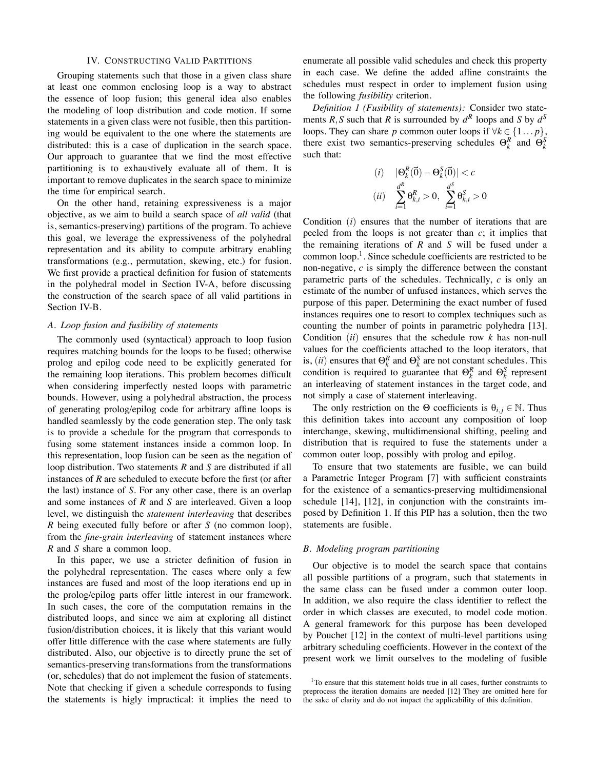#### IV. CONSTRUCTING VALID PARTITIONS

Grouping statements such that those in a given class share at least one common enclosing loop is a way to abstract the essence of loop fusion; this general idea also enables the modeling of loop distribution and code motion. If some statements in a given class were not fusible, then this partitioning would be equivalent to the one where the statements are distributed: this is a case of duplication in the search space. Our approach to guarantee that we find the most effective partitioning is to exhaustively evaluate all of them. It is important to remove duplicates in the search space to minimize the time for empirical search.

On the other hand, retaining expressiveness is a major objective, as we aim to build a search space of *all valid* (that is, semantics-preserving) partitions of the program. To achieve this goal, we leverage the expressiveness of the polyhedral representation and its ability to compute arbitrary enabling transformations (e.g., permutation, skewing, etc.) for fusion. We first provide a practical definition for fusion of statements in the polyhedral model in Section IV-A, before discussing the construction of the search space of all valid partitions in Section IV-B.

## *A. Loop fusion and fusibility of statements*

The commonly used (syntactical) approach to loop fusion requires matching bounds for the loops to be fused; otherwise prolog and epilog code need to be explicitly generated for the remaining loop iterations. This problem becomes difficult when considering imperfectly nested loops with parametric bounds. However, using a polyhedral abstraction, the process of generating prolog/epilog code for arbitrary affine loops is handled seamlessly by the code generation step. The only task is to provide a schedule for the program that corresponds to fusing some statement instances inside a common loop. In this representation, loop fusion can be seen as the negation of loop distribution. Two statements *R* and *S* are distributed if all instances of *R* are scheduled to execute before the first (or after the last) instance of *S*. For any other case, there is an overlap and some instances of *R* and *S* are interleaved. Given a loop level, we distinguish the *statement interleaving* that describes *R* being executed fully before or after *S* (no common loop), from the *fine-grain interleaving* of statement instances where *R* and *S* share a common loop.

In this paper, we use a stricter definition of fusion in the polyhedral representation. The cases where only a few instances are fused and most of the loop iterations end up in the prolog/epilog parts offer little interest in our framework. In such cases, the core of the computation remains in the distributed loops, and since we aim at exploring all distinct fusion/distribution choices, it is likely that this variant would offer little difference with the case where statements are fully distributed. Also, our objective is to directly prune the set of semantics-preserving transformations from the transformations (or, schedules) that do not implement the fusion of statements. Note that checking if given a schedule corresponds to fusing the statements is higly impractical: it implies the need to

enumerate all possible valid schedules and check this property in each case. We define the added affine constraints the schedules must respect in order to implement fusion using the following *fusibility* criterion.

*Definition 1 (Fusibility of statements):* Consider two statements *R*, *S* such that *R* is surrounded by  $d^R$  loops and *S* by  $d^S$ loops. They can share *p* common outer loops if  $\forall k \in \{1...p\}$ , there exist two semantics-preserving schedules  $\Theta_k^R$  and  $\Theta_k^S$ such that:

$$
(i) \quad |\Theta_k^R(\vec{0}) - \Theta_k^S(\vec{0})| < c
$$
  

$$
(ii) \quad \sum_{i=1}^{d^R} \Theta_{k,i}^R > 0, \quad \sum_{i=1}^{d^S} \Theta_{k,i}^S > 0
$$

Condition (*i*) ensures that the number of iterations that are peeled from the loops is not greater than *c*; it implies that the remaining iterations of *R* and *S* will be fused under a common loop.<sup>1</sup>. Since schedule coefficients are restricted to be non-negative, *c* is simply the difference between the constant parametric parts of the schedules. Technically, *c* is only an estimate of the number of unfused instances, which serves the purpose of this paper. Determining the exact number of fused instances requires one to resort to complex techniques such as counting the number of points in parametric polyhedra [13]. Condition (*ii*) ensures that the schedule row *k* has non-null values for the coefficients attached to the loop iterators, that is, (*ii*) ensures that  $\Theta_k^R$  and  $\Theta_k^S$  are not constant schedules. This condition is required to guarantee that  $\Theta_k^R$  and  $\Theta_k^S$  represent an interleaving of statement instances in the target code, and not simply a case of statement interleaving.

The only restriction on the  $\Theta$  coefficients is  $\theta_{i,j} \in \mathbb{N}$ . Thus this definition takes into account any composition of loop interchange, skewing, multidimensional shifting, peeling and distribution that is required to fuse the statements under a common outer loop, possibly with prolog and epilog.

To ensure that two statements are fusible, we can build a Parametric Integer Program [7] with sufficient constraints for the existence of a semantics-preserving multidimensional schedule [14], [12], in conjunction with the constraints imposed by Definition 1. If this PIP has a solution, then the two statements are fusible.

## *B. Modeling program partitioning*

Our objective is to model the search space that contains all possible partitions of a program, such that statements in the same class can be fused under a common outer loop. In addition, we also require the class identifier to reflect the order in which classes are executed, to model code motion. A general framework for this purpose has been developed by Pouchet [12] in the context of multi-level partitions using arbitrary scheduling coefficients. However in the context of the present work we limit ourselves to the modeling of fusible

<sup>&</sup>lt;sup>1</sup>To ensure that this statement holds true in all cases, further constraints to preprocess the iteration domains are needed [12] They are omitted here for the sake of clarity and do not impact the applicability of this definition.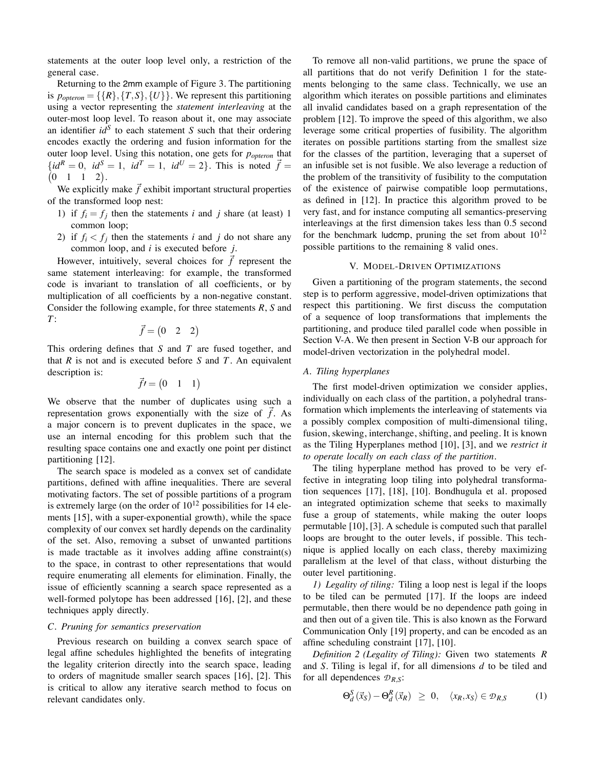statements at the outer loop level only, a restriction of the general case.

Returning to the 2mm example of Figure 3. The partitioning is  $p_{\text{opteron}} = \{\{R\}, \{T, S\}, \{U\}\}\$ . We represent this partitioning using a vector representing the *statement interleaving* at the outer-most loop level. To reason about it, one may associate an identifier  $id^S$  to each statement *S* such that their ordering encodes exactly the ordering and fusion information for the outer loop level. Using this notation, one gets for *popteron* that  ${id^R} = 0$ ,  $id^S = 1$ ,  $id^T = 1$ ,  $id^U = 2$ . This is noted  $\vec{f} =$  $(0 \t1 \t1 \t2).$ 

We explicitly make  $\vec{f}$  exhibit important structural properties of the transformed loop nest:

- 1) if  $f_i = f_j$  then the statements *i* and *j* share (at least) 1 common loop;
- 2) if  $f_i < f_j$  then the statements *i* and *j* do not share any common loop, and *i* is executed before *j*.

However, intuitively, several choices for  $\vec{f}$  represent the same statement interleaving: for example, the transformed code is invariant to translation of all coefficients, or by multiplication of all coefficients by a non-negative constant. Consider the following example, for three statements *R*, *S* and *T*:  $\vec{f} = ($ 

$$
\vec{f} = \begin{pmatrix} 0 & 2 & 2 \end{pmatrix}
$$

This ordering defines that *S* and *T* are fused together, and that *R* is not and is executed before *S* and *T*. An equivalent description is:

$$
\vec{f\prime} = \begin{pmatrix} 0 & 1 & 1 \end{pmatrix}
$$

We observe that the number of duplicates using such a representation grows exponentially with the size of  $\vec{f}$ . As a major concern is to prevent duplicates in the space, we use an internal encoding for this problem such that the resulting space contains one and exactly one point per distinct partitioning [12].

The search space is modeled as a convex set of candidate partitions, defined with affine inequalities. There are several motivating factors. The set of possible partitions of a program is extremely large (on the order of  $10^{12}$  possibilities for 14 elements [15], with a super-exponential growth), while the space complexity of our convex set hardly depends on the cardinality of the set. Also, removing a subset of unwanted partitions is made tractable as it involves adding affine constraint(s) to the space, in contrast to other representations that would require enumerating all elements for elimination. Finally, the issue of efficiently scanning a search space represented as a well-formed polytope has been addressed [16], [2], and these techniques apply directly.

## *C. Pruning for semantics preservation*

Previous research on building a convex search space of legal affine schedules highlighted the benefits of integrating the legality criterion directly into the search space, leading to orders of magnitude smaller search spaces [16], [2]. This is critical to allow any iterative search method to focus on relevant candidates only.

To remove all non-valid partitions, we prune the space of all partitions that do not verify Definition 1 for the statements belonging to the same class. Technically, we use an algorithm which iterates on possible partitions and eliminates all invalid candidates based on a graph representation of the problem [12]. To improve the speed of this algorithm, we also leverage some critical properties of fusibility. The algorithm iterates on possible partitions starting from the smallest size for the classes of the partition, leveraging that a superset of an infusible set is not fusible. We also leverage a reduction of the problem of the transitivity of fusibility to the computation of the existence of pairwise compatible loop permutations, as defined in [12]. In practice this algorithm proved to be very fast, and for instance computing all semantics-preserving interleavings at the first dimension takes less than 0.5 second for the benchmark ludcmp, pruning the set from about  $10^{12}$ possible partitions to the remaining 8 valid ones.

## V. MODEL-DRIVEN OPTIMIZATIONS

Given a partitioning of the program statements, the second step is to perform aggressive, model-driven optimizations that respect this partitioning. We first discuss the computation of a sequence of loop transformations that implements the partitioning, and produce tiled parallel code when possible in Section V-A. We then present in Section V-B our approach for model-driven vectorization in the polyhedral model.

## *A. Tiling hyperplanes*

The first model-driven optimization we consider applies, individually on each class of the partition, a polyhedral transformation which implements the interleaving of statements via a possibly complex composition of multi-dimensional tiling, fusion, skewing, interchange, shifting, and peeling. It is known as the Tiling Hyperplanes method [10], [3], and we *restrict it to operate locally on each class of the partition*.

The tiling hyperplane method has proved to be very effective in integrating loop tiling into polyhedral transformation sequences [17], [18], [10]. Bondhugula et al. proposed an integrated optimization scheme that seeks to maximally fuse a group of statements, while making the outer loops permutable [10], [3]. A schedule is computed such that parallel loops are brought to the outer levels, if possible. This technique is applied locally on each class, thereby maximizing parallelism at the level of that class, without disturbing the outer level partitioning.

*1) Legality of tiling:* Tiling a loop nest is legal if the loops to be tiled can be permuted [17]. If the loops are indeed permutable, then there would be no dependence path going in and then out of a given tile. This is also known as the Forward Communication Only [19] property, and can be encoded as an affine scheduling constraint [17], [10].

*Definition 2 (Legality of Tiling):* Given two statements *R* and *S*. Tiling is legal if, for all dimensions *d* to be tiled and for all dependences  $\mathcal{D}_{R,S}$ :

$$
\Theta_d^S(\vec{x}_S) - \Theta_d^R(\vec{x}_R) \geq 0, \quad \langle x_R, x_S \rangle \in \mathcal{D}_{R,S} \tag{1}
$$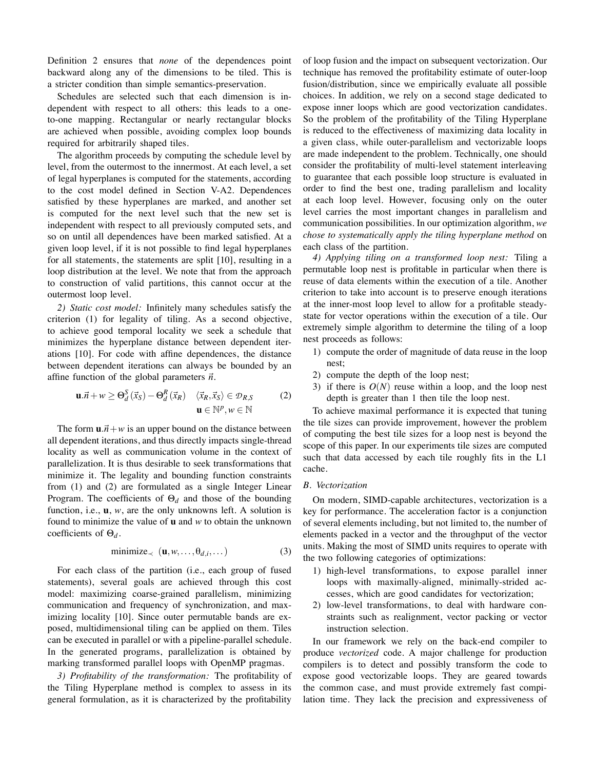Definition 2 ensures that *none* of the dependences point backward along any of the dimensions to be tiled. This is a stricter condition than simple semantics-preservation.

Schedules are selected such that each dimension is independent with respect to all others: this leads to a oneto-one mapping. Rectangular or nearly rectangular blocks are achieved when possible, avoiding complex loop bounds required for arbitrarily shaped tiles.

The algorithm proceeds by computing the schedule level by level, from the outermost to the innermost. At each level, a set of legal hyperplanes is computed for the statements, according to the cost model defined in Section V-A2. Dependences satisfied by these hyperplanes are marked, and another set is computed for the next level such that the new set is independent with respect to all previously computed sets, and so on until all dependences have been marked satisfied. At a given loop level, if it is not possible to find legal hyperplanes for all statements, the statements are split [10], resulting in a loop distribution at the level. We note that from the approach to construction of valid partitions, this cannot occur at the outermost loop level.

*2) Static cost model:* Infinitely many schedules satisfy the criterion (1) for legality of tiling. As a second objective, to achieve good temporal locality we seek a schedule that minimizes the hyperplane distance between dependent iterations [10]. For code with affine dependences, the distance between dependent iterations can always be bounded by an affine function of the global parameters  $\vec{n}$ .

$$
\mathbf{u}.\vec{n} + w \geq \Theta_d^S(\vec{x}_S) - \Theta_d^R(\vec{x}_R) \quad \langle \vec{x}_R, \vec{x}_S \rangle \in \mathcal{D}_{R,S} \tag{2}
$$
\n
$$
\mathbf{u} \in \mathbb{N}^p, w \in \mathbb{N}
$$

The form  $\mathbf{u}.\vec{n} + w$  is an upper bound on the distance between all dependent iterations, and thus directly impacts single-thread locality as well as communication volume in the context of parallelization. It is thus desirable to seek transformations that minimize it. The legality and bounding function constraints from (1) and (2) are formulated as a single Integer Linear Program. The coefficients of Θ*<sup>d</sup>* and those of the bounding function, i.e., **u**, *w*, are the only unknowns left. A solution is found to minimize the value of **u** and *w* to obtain the unknown coefficients of Θ*d*.

$$
\text{minimize}_{\prec} \left( \mathbf{u}, w, \dots, \theta_{d,i}, \dots \right) \tag{3}
$$

For each class of the partition (i.e., each group of fused statements), several goals are achieved through this cost model: maximizing coarse-grained parallelism, minimizing communication and frequency of synchronization, and maximizing locality [10]. Since outer permutable bands are exposed, multidimensional tiling can be applied on them. Tiles can be executed in parallel or with a pipeline-parallel schedule. In the generated programs, parallelization is obtained by marking transformed parallel loops with OpenMP pragmas.

*3) Profitability of the transformation:* The profitability of the Tiling Hyperplane method is complex to assess in its general formulation, as it is characterized by the profitability of loop fusion and the impact on subsequent vectorization. Our technique has removed the profitability estimate of outer-loop fusion/distribution, since we empirically evaluate all possible choices. In addition, we rely on a second stage dedicated to expose inner loops which are good vectorization candidates. So the problem of the profitability of the Tiling Hyperplane is reduced to the effectiveness of maximizing data locality in a given class, while outer-parallelism and vectorizable loops are made independent to the problem. Technically, one should consider the profitability of multi-level statement interleaving to guarantee that each possible loop structure is evaluated in order to find the best one, trading parallelism and locality at each loop level. However, focusing only on the outer level carries the most important changes in parallelism and communication possibilities. In our optimization algorithm, *we chose to systematically apply the tiling hyperplane method* on each class of the partition.

*4) Applying tiling on a transformed loop nest:* Tiling a permutable loop nest is profitable in particular when there is reuse of data elements within the execution of a tile. Another criterion to take into account is to preserve enough iterations at the inner-most loop level to allow for a profitable steadystate for vector operations within the execution of a tile. Our extremely simple algorithm to determine the tiling of a loop nest proceeds as follows:

- 1) compute the order of magnitude of data reuse in the loop nest;
- 2) compute the depth of the loop nest;
- 3) if there is *O*(*N*) reuse within a loop, and the loop nest depth is greater than 1 then tile the loop nest.

To achieve maximal performance it is expected that tuning the tile sizes can provide improvement, however the problem of computing the best tile sizes for a loop nest is beyond the scope of this paper. In our experiments tile sizes are computed such that data accessed by each tile roughly fits in the L1 cache.

## *B. Vectorization*

On modern, SIMD-capable architectures, vectorization is a key for performance. The acceleration factor is a conjunction of several elements including, but not limited to, the number of elements packed in a vector and the throughput of the vector units. Making the most of SIMD units requires to operate with the two following categories of optimizations:

- 1) high-level transformations, to expose parallel inner loops with maximally-aligned, minimally-strided accesses, which are good candidates for vectorization;
- 2) low-level transformations, to deal with hardware constraints such as realignment, vector packing or vector instruction selection.

In our framework we rely on the back-end compiler to produce *vectorized* code. A major challenge for production compilers is to detect and possibly transform the code to expose good vectorizable loops. They are geared towards the common case, and must provide extremely fast compilation time. They lack the precision and expressiveness of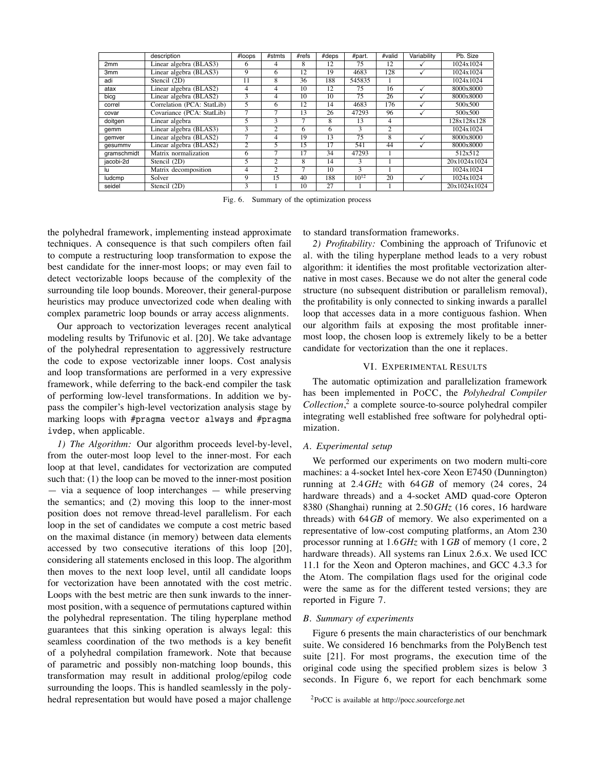|                 | description                | #loops         | #stmts         | #refs          | # <sub>deps</sub> | #part.                   | #valid         | Variability | Pb. Size     |
|-----------------|----------------------------|----------------|----------------|----------------|-------------------|--------------------------|----------------|-------------|--------------|
| 2mm             | Linear algebra (BLAS3)     | 6              | 4              | 8              | 12                | 75                       | 12             |             | 1024x1024    |
| 3 <sub>mm</sub> | Linear algebra (BLAS3)     | 9              | 6              | 12             | 19                | 4683                     | 128            |             | 1024x1024    |
| adi             | Stencil (2D)               | 11             | 8              | 36             | 188               | 545835                   |                |             | 1024x1024    |
| atax            | Linear algebra (BLAS2)     | 4              | 4              | 10             | 12                | 75                       | 16             |             | 8000x8000    |
| bicq            | Linear algebra (BLAS2)     | 3              | 4              | 10             | 10                | 75                       | 26             |             | 8000x8000    |
| correl          | Correlation (PCA: StatLib) | 5              | 6              | 12             | 14                | 4683                     | 176            |             | 500x500      |
| covar           | Covariance (PCA: StatLib)  | 7              | ⇁              | 13             | 26                | 47293                    | 96             |             | 500x500      |
| doitgen         | Linear algebra             | 5              | 3              | ᠇              | $\overline{8}$    | 13                       | 4              |             | 128x128x128  |
| qemm            | Linear algebra (BLAS3)     | 3              | $\overline{c}$ | 6              | 6                 | $\mathbf{3}$             | $\overline{c}$ |             | 1024x1024    |
| aemver          | Linear algebra (BLAS2)     | 7              | 4              | 19             | 13                | 75                       | 8              |             | 8000x8000    |
| qesummv         | Linear algebra (BLAS2)     | $\overline{c}$ | 5              | 15             | 17                | 541                      | 44             |             | 8000x8000    |
| gramschmidt     | Matrix normalization       | 6              |                | 17             | 34                | 47293                    |                |             | 512x512      |
| iacobi-2d       | Stencil (2D)               | 5              | 2              | $\overline{8}$ | 14                | $\overline{\mathcal{L}}$ |                |             | 20x1024x1024 |
| lи              | Matrix decomposition       | 4              | 2              | ⇁              | $\overline{10}$   | 3                        |                |             | 1024x1024    |
| ludcmp          | Solver                     | 9              | 15             | 40             | 188               | $10^{12}$                | 20             |             | 1024x1024    |
| seidel          | Stencil (2D)               | 3              |                | 10             | 27                |                          |                |             | 20x1024x1024 |

Fig. 6. Summary of the optimization process

the polyhedral framework, implementing instead approximate techniques. A consequence is that such compilers often fail to compute a restructuring loop transformation to expose the best candidate for the inner-most loops; or may even fail to detect vectorizable loops because of the complexity of the surrounding tile loop bounds. Moreover, their general-purpose heuristics may produce unvectorized code when dealing with complex parametric loop bounds or array access alignments.

Our approach to vectorization leverages recent analytical modeling results by Trifunovic et al. [20]. We take advantage of the polyhedral representation to aggressively restructure the code to expose vectorizable inner loops. Cost analysis and loop transformations are performed in a very expressive framework, while deferring to the back-end compiler the task of performing low-level transformations. In addition we bypass the compiler's high-level vectorization analysis stage by marking loops with #pragma vector always and #pragma ivdep, when applicable.

*1) The Algorithm:* Our algorithm proceeds level-by-level, from the outer-most loop level to the inner-most. For each loop at that level, candidates for vectorization are computed such that: (1) the loop can be moved to the inner-most position — via a sequence of loop interchanges — while preserving the semantics; and (2) moving this loop to the inner-most position does not remove thread-level parallelism. For each loop in the set of candidates we compute a cost metric based on the maximal distance (in memory) between data elements accessed by two consecutive iterations of this loop [20], considering all statements enclosed in this loop. The algorithm then moves to the next loop level, until all candidate loops for vectorization have been annotated with the cost metric. Loops with the best metric are then sunk inwards to the innermost position, with a sequence of permutations captured within the polyhedral representation. The tiling hyperplane method guarantees that this sinking operation is always legal: this seamless coordination of the two methods is a key benefit of a polyhedral compilation framework. Note that because of parametric and possibly non-matching loop bounds, this transformation may result in additional prolog/epilog code surrounding the loops. This is handled seamlessly in the polyhedral representation but would have posed a major challenge

to standard transformation frameworks.

*2) Profitability:* Combining the approach of Trifunovic et al. with the tiling hyperplane method leads to a very robust algorithm: it identifies the most profitable vectorization alternative in most cases. Because we do not alter the general code structure (no subsequent distribution or parallelism removal), the profitability is only connected to sinking inwards a parallel loop that accesses data in a more contiguous fashion. When our algorithm fails at exposing the most profitable innermost loop, the chosen loop is extremely likely to be a better candidate for vectorization than the one it replaces.

## VI. EXPERIMENTAL RESULTS

The automatic optimization and parallelization framework has been implemented in POCC, the *Polyhedral Compiler Collection*, <sup>2</sup> a complete source-to-source polyhedral compiler integrating well established free software for polyhedral optimization.

## *A. Experimental setup*

We performed our experiments on two modern multi-core machines: a 4-socket Intel hex-core Xeon E7450 (Dunnington) running at 2.4*GHz* with 64*GB* of memory (24 cores, 24 hardware threads) and a 4-socket AMD quad-core Opteron 8380 (Shanghai) running at 2.50*GHz* (16 cores, 16 hardware threads) with 64*GB* of memory. We also experimented on a representative of low-cost computing platforms, an Atom 230 processor running at 1.6*GHz* with 1*GB* of memory (1 core, 2 hardware threads). All systems ran Linux 2.6.x. We used ICC 11.1 for the Xeon and Opteron machines, and GCC 4.3.3 for the Atom. The compilation flags used for the original code were the same as for the different tested versions; they are reported in Figure 7.

## *B. Summary of experiments*

Figure 6 presents the main characteristics of our benchmark suite. We considered 16 benchmarks from the PolyBench test suite [21]. For most programs, the execution time of the original code using the specified problem sizes is below 3 seconds. In Figure 6, we report for each benchmark some

<sup>2</sup>PoCC is available at http://pocc.sourceforge.net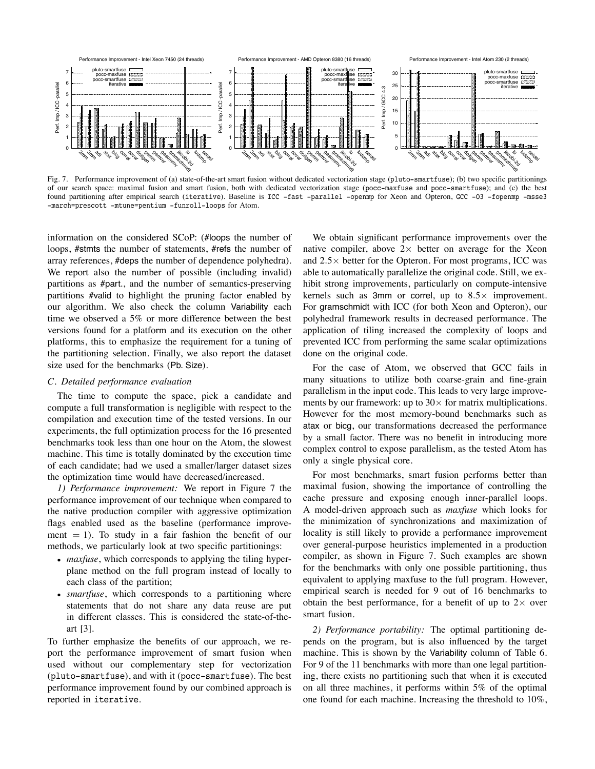

Fig. 7. Performance improvement of (a) state-of-the-art smart fusion without dedicated vectorization stage (pluto-smartfuse); (b) two specific partitionings of our search space: maximal fusion and smart fusion, both with dedicated vectorization stage (pocc-maxfuse and pocc-smartfuse); and (c) the best found partitioning after empirical search (iterative). Baseline is ICC -fast -parallel -openmp for Xeon and Opteron, GCC -O3 -fopenmp -msse3 -march=prescott -mtune=pentium -funroll-loops for Atom.

information on the considered SCoP: (#loops the number of loops, #stmts the number of statements, #refs the number of array references, #deps the number of dependence polyhedra). We report also the number of possible (including invalid) partitions as #part., and the number of semantics-preserving partitions #valid to highlight the pruning factor enabled by our algorithm. We also check the column Variability each time we observed a 5% or more difference between the best versions found for a platform and its execution on the other platforms, this to emphasize the requirement for a tuning of the partitioning selection. Finally, we also report the dataset size used for the benchmarks (Pb. Size).

#### *C. Detailed performance evaluation*

The time to compute the space, pick a candidate and compute a full transformation is negligible with respect to the compilation and execution time of the tested versions. In our experiments, the full optimization process for the 16 presented benchmarks took less than one hour on the Atom, the slowest machine. This time is totally dominated by the execution time of each candidate; had we used a smaller/larger dataset sizes the optimization time would have decreased/increased.

*1) Performance improvement:* We report in Figure 7 the performance improvement of our technique when compared to the native production compiler with aggressive optimization flags enabled used as the baseline (performance improvement  $= 1$ ). To study in a fair fashion the benefit of our methods, we particularly look at two specific partitionings:

- *maxfuse*, which corresponds to applying the tiling hyperplane method on the full program instead of locally to each class of the partition;
- *smartfuse*, which corresponds to a partitioning where statements that do not share any data reuse are put in different classes. This is considered the state-of-theart [3].

To further emphasize the benefits of our approach, we report the performance improvement of smart fusion when used without our complementary step for vectorization (pluto-smartfuse), and with it (pocc-smartfuse). The best performance improvement found by our combined approach is reported in iterative.

We obtain significant performance improvements over the native compiler, above  $2 \times$  better on average for the Xeon and  $2.5\times$  better for the Opteron. For most programs, ICC was able to automatically parallelize the original code. Still, we exhibit strong improvements, particularly on compute-intensive kernels such as 3mm or correl, up to  $8.5\times$  improvement. For gramschmidt with ICC (for both Xeon and Opteron), our polyhedral framework results in decreased performance. The application of tiling increased the complexity of loops and prevented ICC from performing the same scalar optimizations done on the original code.

For the case of Atom, we observed that GCC fails in many situations to utilize both coarse-grain and fine-grain parallelism in the input code. This leads to very large improvements by our framework: up to  $30\times$  for matrix multiplications. However for the most memory-bound benchmarks such as atax or bicg, our transformations decreased the performance by a small factor. There was no benefit in introducing more complex control to expose parallelism, as the tested Atom has only a single physical core.

For most benchmarks, smart fusion performs better than maximal fusion, showing the importance of controlling the cache pressure and exposing enough inner-parallel loops. A model-driven approach such as *maxfuse* which looks for the minimization of synchronizations and maximization of locality is still likely to provide a performance improvement over general-purpose heuristics implemented in a production compiler, as shown in Figure 7. Such examples are shown for the benchmarks with only one possible partitioning, thus equivalent to applying maxfuse to the full program. However, empirical search is needed for 9 out of 16 benchmarks to obtain the best performance, for a benefit of up to  $2 \times$  over smart fusion.

*2) Performance portability:* The optimal partitioning depends on the program, but is also influenced by the target machine. This is shown by the Variability column of Table 6. For 9 of the 11 benchmarks with more than one legal partitioning, there exists no partitioning such that when it is executed on all three machines, it performs within 5% of the optimal one found for each machine. Increasing the threshold to 10%,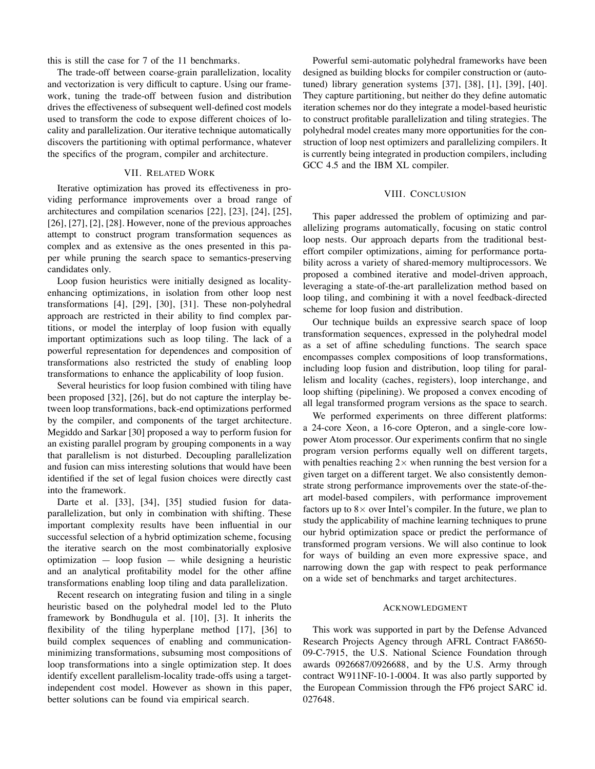this is still the case for 7 of the 11 benchmarks.

The trade-off between coarse-grain parallelization, locality and vectorization is very difficult to capture. Using our framework, tuning the trade-off between fusion and distribution drives the effectiveness of subsequent well-defined cost models used to transform the code to expose different choices of locality and parallelization. Our iterative technique automatically discovers the partitioning with optimal performance, whatever the specifics of the program, compiler and architecture.

## VII. RELATED WORK

Iterative optimization has proved its effectiveness in providing performance improvements over a broad range of architectures and compilation scenarios [22], [23], [24], [25], [26], [27], [2], [28]. However, none of the previous approaches attempt to construct program transformation sequences as complex and as extensive as the ones presented in this paper while pruning the search space to semantics-preserving candidates only.

Loop fusion heuristics were initially designed as localityenhancing optimizations, in isolation from other loop nest transformations [4], [29], [30], [31]. These non-polyhedral approach are restricted in their ability to find complex partitions, or model the interplay of loop fusion with equally important optimizations such as loop tiling. The lack of a powerful representation for dependences and composition of transformations also restricted the study of enabling loop transformations to enhance the applicability of loop fusion.

Several heuristics for loop fusion combined with tiling have been proposed [32], [26], but do not capture the interplay between loop transformations, back-end optimizations performed by the compiler, and components of the target architecture. Megiddo and Sarkar [30] proposed a way to perform fusion for an existing parallel program by grouping components in a way that parallelism is not disturbed. Decoupling parallelization and fusion can miss interesting solutions that would have been identified if the set of legal fusion choices were directly cast into the framework.

Darte et al. [33], [34], [35] studied fusion for dataparallelization, but only in combination with shifting. These important complexity results have been influential in our successful selection of a hybrid optimization scheme, focusing the iterative search on the most combinatorially explosive optimization — loop fusion — while designing a heuristic and an analytical profitability model for the other affine transformations enabling loop tiling and data parallelization.

Recent research on integrating fusion and tiling in a single heuristic based on the polyhedral model led to the Pluto framework by Bondhugula et al. [10], [3]. It inherits the flexibility of the tiling hyperplane method [17], [36] to build complex sequences of enabling and communicationminimizing transformations, subsuming most compositions of loop transformations into a single optimization step. It does identify excellent parallelism-locality trade-offs using a targetindependent cost model. However as shown in this paper, better solutions can be found via empirical search.

Powerful semi-automatic polyhedral frameworks have been designed as building blocks for compiler construction or (autotuned) library generation systems [37], [38], [1], [39], [40]. They capture partitioning, but neither do they define automatic iteration schemes nor do they integrate a model-based heuristic to construct profitable parallelization and tiling strategies. The polyhedral model creates many more opportunities for the construction of loop nest optimizers and parallelizing compilers. It is currently being integrated in production compilers, including GCC 4.5 and the IBM XL compiler.

#### VIII. CONCLUSION

This paper addressed the problem of optimizing and parallelizing programs automatically, focusing on static control loop nests. Our approach departs from the traditional besteffort compiler optimizations, aiming for performance portability across a variety of shared-memory multiprocessors. We proposed a combined iterative and model-driven approach, leveraging a state-of-the-art parallelization method based on loop tiling, and combining it with a novel feedback-directed scheme for loop fusion and distribution.

Our technique builds an expressive search space of loop transformation sequences, expressed in the polyhedral model as a set of affine scheduling functions. The search space encompasses complex compositions of loop transformations, including loop fusion and distribution, loop tiling for parallelism and locality (caches, registers), loop interchange, and loop shifting (pipelining). We proposed a convex encoding of all legal transformed program versions as the space to search.

We performed experiments on three different platforms: a 24-core Xeon, a 16-core Opteron, and a single-core lowpower Atom processor. Our experiments confirm that no single program version performs equally well on different targets, with penalties reaching  $2\times$  when running the best version for a given target on a different target. We also consistently demonstrate strong performance improvements over the state-of-theart model-based compilers, with performance improvement factors up to  $8 \times$  over Intel's compiler. In the future, we plan to study the applicability of machine learning techniques to prune our hybrid optimization space or predict the performance of transformed program versions. We will also continue to look for ways of building an even more expressive space, and narrowing down the gap with respect to peak performance on a wide set of benchmarks and target architectures.

## ACKNOWLEDGMENT

This work was supported in part by the Defense Advanced Research Projects Agency through AFRL Contract FA8650- 09-C-7915, the U.S. National Science Foundation through awards 0926687/0926688, and by the U.S. Army through contract W911NF-10-1-0004. It was also partly supported by the European Commission through the FP6 project SARC id. 027648.